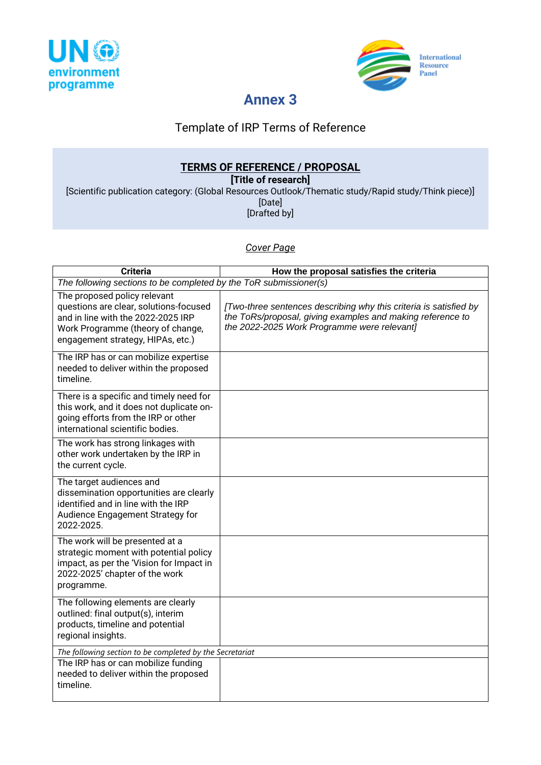



# **Annex 3**

# Template of IRP Terms of Reference

# **TERMS OF REFERENCE / PROPOSAL**

**[Title of research]**

[Scientific publication category: (Global Resources Outlook/Thematic study/Rapid study/Think piece)] [Date]

[Drafted by]

*Cover Page*

| <b>Criteria</b>                                                                                                                                                                        | How the proposal satisfies the criteria                                                                                                                                        |  |  |  |  |
|----------------------------------------------------------------------------------------------------------------------------------------------------------------------------------------|--------------------------------------------------------------------------------------------------------------------------------------------------------------------------------|--|--|--|--|
| The following sections to be completed by the ToR submissioner(s)                                                                                                                      |                                                                                                                                                                                |  |  |  |  |
| The proposed policy relevant<br>questions are clear, solutions-focused<br>and in line with the 2022-2025 IRP<br>Work Programme (theory of change,<br>engagement strategy, HIPAs, etc.) | [Two-three sentences describing why this criteria is satisfied by<br>the ToRs/proposal, giving examples and making reference to<br>the 2022-2025 Work Programme were relevant] |  |  |  |  |
| The IRP has or can mobilize expertise<br>needed to deliver within the proposed<br>timeline.                                                                                            |                                                                                                                                                                                |  |  |  |  |
| There is a specific and timely need for<br>this work, and it does not duplicate on-<br>going efforts from the IRP or other<br>international scientific bodies.                         |                                                                                                                                                                                |  |  |  |  |
| The work has strong linkages with<br>other work undertaken by the IRP in<br>the current cycle.                                                                                         |                                                                                                                                                                                |  |  |  |  |
| The target audiences and<br>dissemination opportunities are clearly<br>identified and in line with the IRP<br>Audience Engagement Strategy for<br>2022-2025.                           |                                                                                                                                                                                |  |  |  |  |
| The work will be presented at a<br>strategic moment with potential policy<br>impact, as per the 'Vision for Impact in<br>2022-2025' chapter of the work<br>programme.                  |                                                                                                                                                                                |  |  |  |  |
| The following elements are clearly<br>outlined: final output(s), interim<br>products, timeline and potential<br>regional insights.                                                     |                                                                                                                                                                                |  |  |  |  |
| The following section to be completed by the Secretariat                                                                                                                               |                                                                                                                                                                                |  |  |  |  |
| The IRP has or can mobilize funding<br>needed to deliver within the proposed<br>timeline.                                                                                              |                                                                                                                                                                                |  |  |  |  |